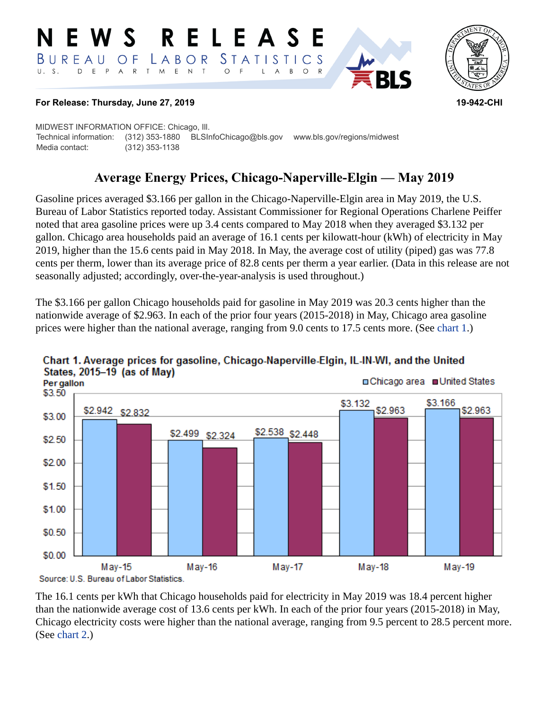#### RELEASE E W S LABOR STATISTICS  $B$  U R E A U O F D E P A R T M E N T  $\circ$  $U. S.$  $\overline{F}$ L  $\overline{A}$  $B$  $\circ$



#### **For Release: Thursday, June 27, 2019 19-942-CHI**

MIDWEST INFORMATION OFFICE: Chicago, Ill. Technical information: (312) 353-1880 BLSInfoChicago@bls.gov www.bls.gov/regions/midwest Media contact: (312) 353-1138

# **Average Energy Prices, Chicago-Naperville-Elgin — May 2019**

Gasoline prices averaged \$3.166 per gallon in the Chicago-Naperville-Elgin area in May 2019, the U.S. Bureau of Labor Statistics reported today. Assistant Commissioner for Regional Operations Charlene Peiffer noted that area gasoline prices were up 3.4 cents compared to May 2018 when they averaged \$3.132 per gallon. Chicago area households paid an average of 16.1 cents per kilowatt-hour (kWh) of electricity in May 2019, higher than the 15.6 cents paid in May 2018. In May, the average cost of utility (piped) gas was 77.8 cents per therm, lower than its average price of 82.8 cents per therm a year earlier. (Data in this release are not seasonally adjusted; accordingly, over-the-year-analysis is used throughout.)

The \$3.166 per gallon Chicago households paid for gasoline in May 2019 was 20.3 cents higher than the nationwide average of \$2.963. In each of the prior four years (2015-2018) in May, Chicago area gasoline prices were higher than the national average, ranging from 9.0 cents to 17.5 cents more. (See [chart 1.](#page-0-0))



## <span id="page-0-0"></span>Chart 1. Average prices for gasoline, Chicago-Naperville-Elgin, IL-IN-WI, and the United States, 2015-19 (as of May)

The 16.1 cents per kWh that Chicago households paid for electricity in May 2019 was 18.4 percent higher than the nationwide average cost of 13.6 cents per kWh. In each of the prior four years (2015-2018) in May, Chicago electricity costs were higher than the national average, ranging from 9.5 percent to 28.5 percent more. (See [chart 2.](#page-1-0))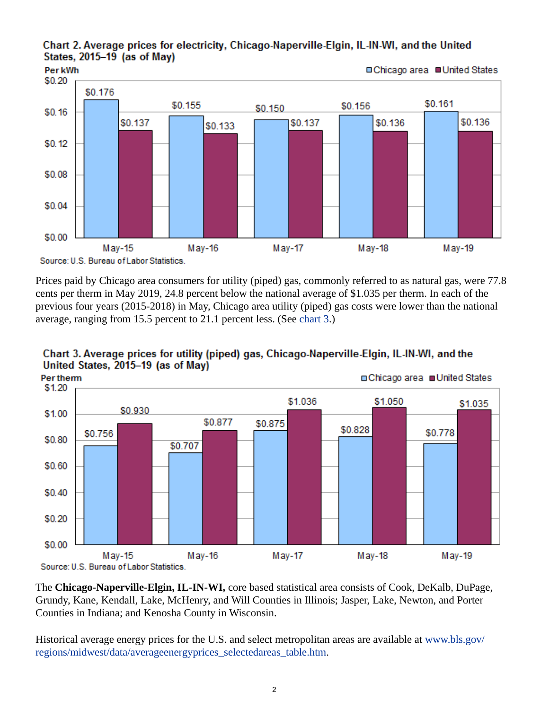#### <span id="page-1-0"></span>Chart 2. Average prices for electricity, Chicago-Naperville-Elgin, IL-IN-WI, and the United States, 2015-19 (as of May)



Prices paid by Chicago area consumers for utility (piped) gas, commonly referred to as natural gas, were 77.8 cents per therm in May 2019, 24.8 percent below the national average of \$1.035 per therm. In each of the previous four years (2015-2018) in May, Chicago area utility (piped) gas costs were lower than the national average, ranging from 15.5 percent to 21.1 percent less. (See [chart 3.](#page-1-1))

<span id="page-1-1"></span>



The **Chicago-Naperville-Elgin, IL-IN-WI,** core based statistical area consists of Cook, DeKalb, DuPage, Grundy, Kane, Kendall, Lake, McHenry, and Will Counties in Illinois; Jasper, Lake, Newton, and Porter Counties in Indiana; and Kenosha County in Wisconsin.

Historical average energy prices for the U.S. and select metropolitan areas are available at [www.bls.gov/](https://www.bls.gov/regions/midwest/data/averageenergyprices_selectedareas_table.htm) [regions/midwest/data/averageenergyprices\\_selectedareas\\_table.htm.](https://www.bls.gov/regions/midwest/data/averageenergyprices_selectedareas_table.htm)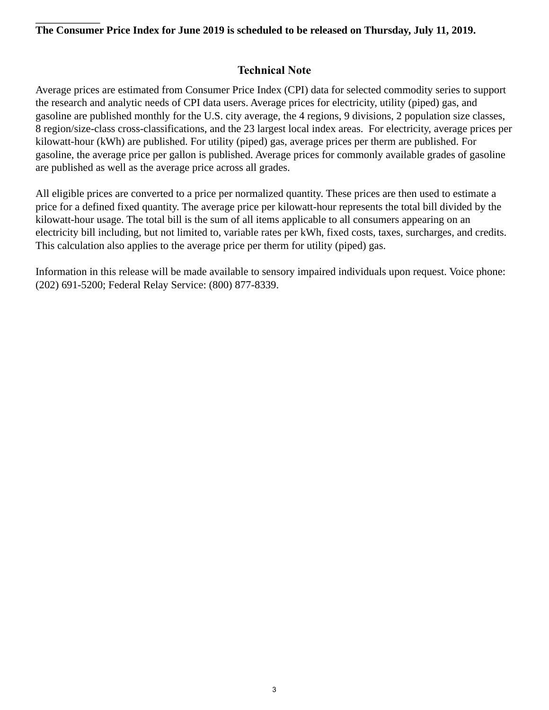#### **The Consumer Price Index for June 2019 is scheduled to be released on Thursday, July 11, 2019.**

## **Technical Note**

Average prices are estimated from Consumer Price Index (CPI) data for selected commodity series to support the research and analytic needs of CPI data users. Average prices for electricity, utility (piped) gas, and gasoline are published monthly for the U.S. city average, the 4 regions, 9 divisions, 2 population size classes, 8 region/size-class cross-classifications, and the 23 largest local index areas. For electricity, average prices per kilowatt-hour (kWh) are published. For utility (piped) gas, average prices per therm are published. For gasoline, the average price per gallon is published. Average prices for commonly available grades of gasoline are published as well as the average price across all grades.

All eligible prices are converted to a price per normalized quantity. These prices are then used to estimate a price for a defined fixed quantity. The average price per kilowatt-hour represents the total bill divided by the kilowatt-hour usage. The total bill is the sum of all items applicable to all consumers appearing on an electricity bill including, but not limited to, variable rates per kWh, fixed costs, taxes, surcharges, and credits. This calculation also applies to the average price per therm for utility (piped) gas.

Information in this release will be made available to sensory impaired individuals upon request. Voice phone: (202) 691-5200; Federal Relay Service: (800) 877-8339.